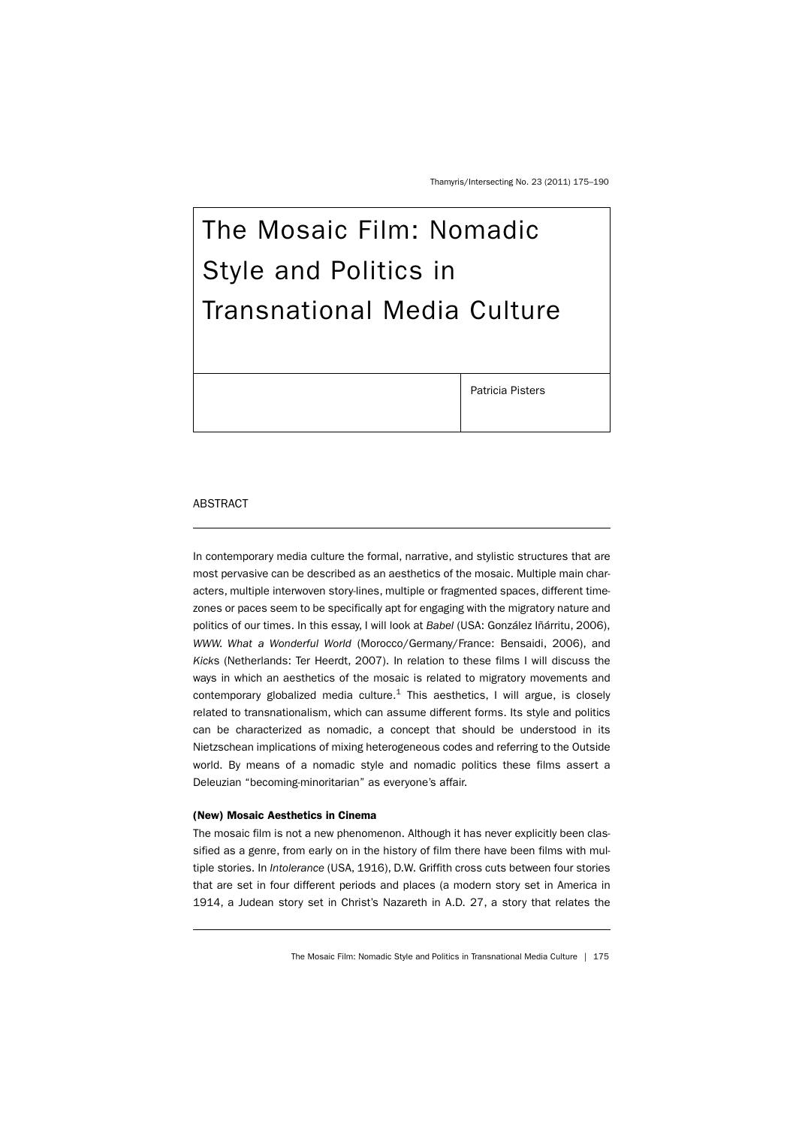# The Mosaic Film: Nomadic Style and Politics in Transnational Media Culture

Patricia Pisters

# ABSTRACT

In contemporary media culture the formal, narrative, and stylistic structures that are most pervasive can be described as an aesthetics of the mosaic. Multiple main characters, multiple interwoven story-lines, multiple or fragmented spaces, different timezones or paces seem to be specifically apt for engaging with the migratory nature and politics of our times. In this essay, I will look at *Babel* (USA: González Iñárritu, 2006), *WWW. What a Wonderful World* (Morocco/Germany/France: Bensaidi, 2006), and *Kick*s (Netherlands: Ter Heerdt, 2007). In relation to these films I will discuss the ways in which an aesthetics of the mosaic is related to migratory movements and contemporary globalized media culture.<sup>1</sup> This aesthetics, I will argue, is closely related to transnationalism, which can assume different forms. Its style and politics can be characterized as nomadic, a concept that should be understood in its Nietzschean implications of mixing heterogeneous codes and referring to the Outside world. By means of a nomadic style and nomadic politics these films assert a Deleuzian "becoming-minoritarian" as everyone's affair.

#### (New) Mosaic Aesthetics in Cinema

The mosaic film is not a new phenomenon. Although it has never explicitly been classified as a genre, from early on in the history of film there have been films with multiple stories. In *Intolerance* (USA, 1916), D.W. Griffith cross cuts between four stories that are set in four different periods and places (a modern story set in America in 1914, a Judean story set in Christ's Nazareth in A.D. 27, a story that relates the

The Mosaic Film: Nomadic Style and Politics in Transnational Media Culture | 175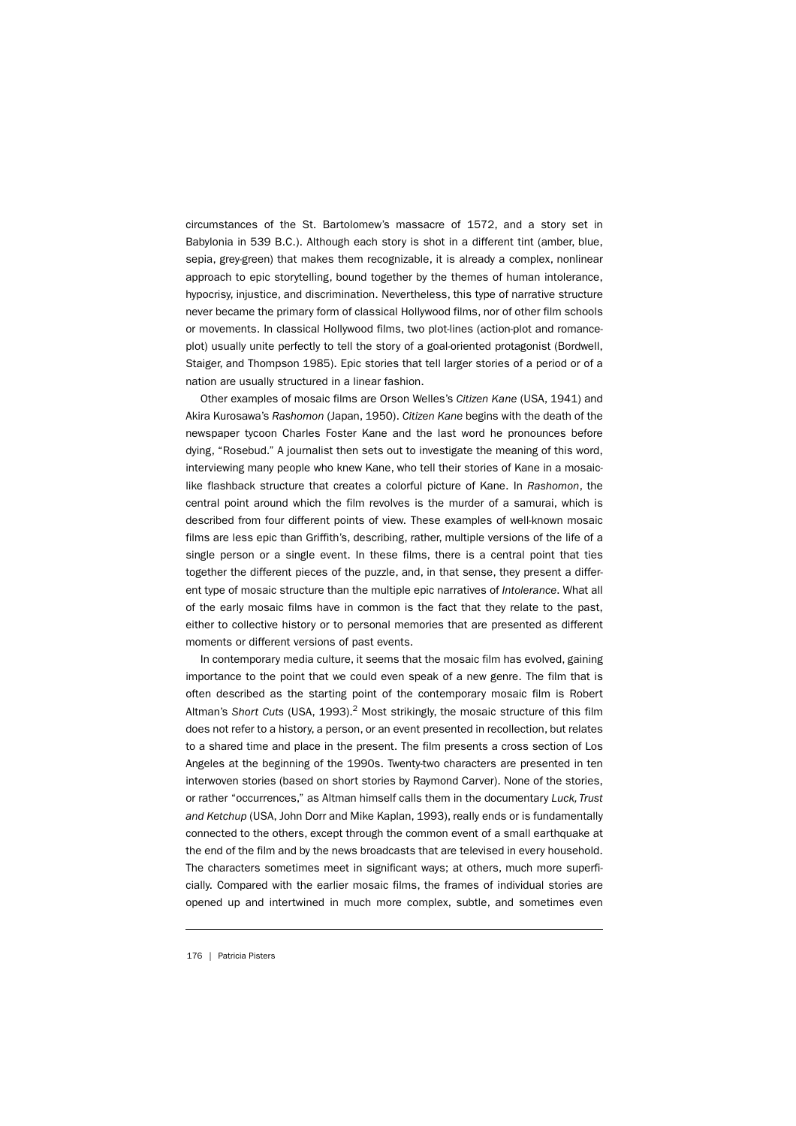circumstances of the St. Bartolomew's massacre of 1572, and a story set in Babylonia in 539 B.C.). Although each story is shot in a different tint (amber, blue, sepia, grey-green) that makes them recognizable, it is already a complex, nonlinear approach to epic storytelling, bound together by the themes of human intolerance, hypocrisy, injustice, and discrimination. Nevertheless, this type of narrative structure never became the primary form of classical Hollywood films, nor of other film schools or movements. In classical Hollywood films, two plot-lines (action-plot and romanceplot) usually unite perfectly to tell the story of a goal-oriented protagonist (Bordwell, Staiger, and Thompson 1985). Epic stories that tell larger stories of a period or of a nation are usually structured in a linear fashion.

Other examples of mosaic films are Orson Welles's *Citizen Kane* (USA, 1941) and Akira Kurosawa's *Rashomon* (Japan, 1950). *Citizen Kane* begins with the death of the newspaper tycoon Charles Foster Kane and the last word he pronounces before dying, "Rosebud." A journalist then sets out to investigate the meaning of this word, interviewing many people who knew Kane, who tell their stories of Kane in a mosaiclike flashback structure that creates a colorful picture of Kane. In *Rashomon*, the central point around which the film revolves is the murder of a samurai, which is described from four different points of view. These examples of well-known mosaic films are less epic than Griffith's, describing, rather, multiple versions of the life of a single person or a single event. In these films, there is a central point that ties together the different pieces of the puzzle, and, in that sense, they present a different type of mosaic structure than the multiple epic narratives of *Intolerance*. What all of the early mosaic films have in common is the fact that they relate to the past, either to collective history or to personal memories that are presented as different moments or different versions of past events.

In contemporary media culture, it seems that the mosaic film has evolved, gaining importance to the point that we could even speak of a new genre. The film that is often described as the starting point of the contemporary mosaic film is Robert Altman's *Short Cuts* (USA, 1993).2 Most strikingly, the mosaic structure of this film does not refer to a history, a person, or an event presented in recollection, but relates to a shared time and place in the present. The film presents a cross section of Los Angeles at the beginning of the 1990s. Twenty-two characters are presented in ten interwoven stories (based on short stories by Raymond Carver). None of the stories, or rather "occurrences," as Altman himself calls them in the documentary *Luck, Trust and Ketchup* (USA, John Dorr and Mike Kaplan, 1993), really ends or is fundamentally connected to the others, except through the common event of a small earthquake at the end of the film and by the news broadcasts that are televised in every household. The characters sometimes meet in significant ways; at others, much more superficially. Compared with the earlier mosaic films, the frames of individual stories are opened up and intertwined in much more complex, subtle, and sometimes even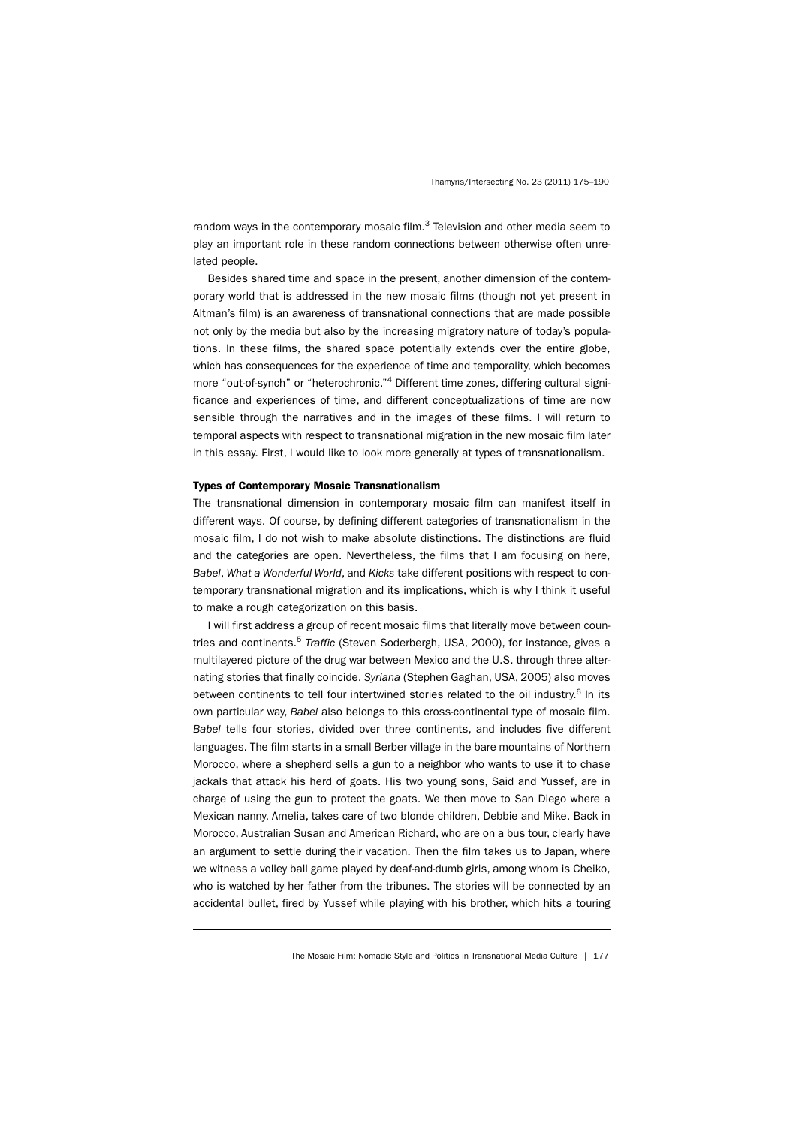random ways in the contemporary mosaic film. $3$  Television and other media seem to play an important role in these random connections between otherwise often unrelated people.

Besides shared time and space in the present, another dimension of the contemporary world that is addressed in the new mosaic films (though not yet present in Altman's film) is an awareness of transnational connections that are made possible not only by the media but also by the increasing migratory nature of today's populations. In these films, the shared space potentially extends over the entire globe, which has consequences for the experience of time and temporality, which becomes more "out-of-synch" or "heterochronic."4 Different time zones, differing cultural significance and experiences of time, and different conceptualizations of time are now sensible through the narratives and in the images of these films. I will return to temporal aspects with respect to transnational migration in the new mosaic film later in this essay. First, I would like to look more generally at types of transnationalism.

#### Types of Contemporary Mosaic Transnationalism

The transnational dimension in contemporary mosaic film can manifest itself in different ways. Of course, by defining different categories of transnationalism in the mosaic film, I do not wish to make absolute distinctions. The distinctions are fluid and the categories are open. Nevertheless, the films that I am focusing on here, *Babel*, *What a Wonderful World*, and *Kicks* take different positions with respect to contemporary transnational migration and its implications, which is why I think it useful to make a rough categorization on this basis.

I will first address a group of recent mosaic films that literally move between countries and continents.5 *Traffic* (Steven Soderbergh, USA, 2000), for instance, gives a multilayered picture of the drug war between Mexico and the U.S. through three alternating stories that finally coincide. *Syriana* (Stephen Gaghan, USA, 2005) also moves between continents to tell four intertwined stories related to the oil industry.<sup>6</sup> In its own particular way, *Babel* also belongs to this cross-continental type of mosaic film. *Babel* tells four stories, divided over three continents, and includes five different languages. The film starts in a small Berber village in the bare mountains of Northern Morocco, where a shepherd sells a gun to a neighbor who wants to use it to chase jackals that attack his herd of goats. His two young sons, Said and Yussef, are in charge of using the gun to protect the goats. We then move to San Diego where a Mexican nanny, Amelia, takes care of two blonde children, Debbie and Mike. Back in Morocco, Australian Susan and American Richard, who are on a bus tour, clearly have an argument to settle during their vacation. Then the film takes us to Japan, where we witness a volley ball game played by deaf-and-dumb girls, among whom is Cheiko, who is watched by her father from the tribunes. The stories will be connected by an accidental bullet, fired by Yussef while playing with his brother, which hits a touring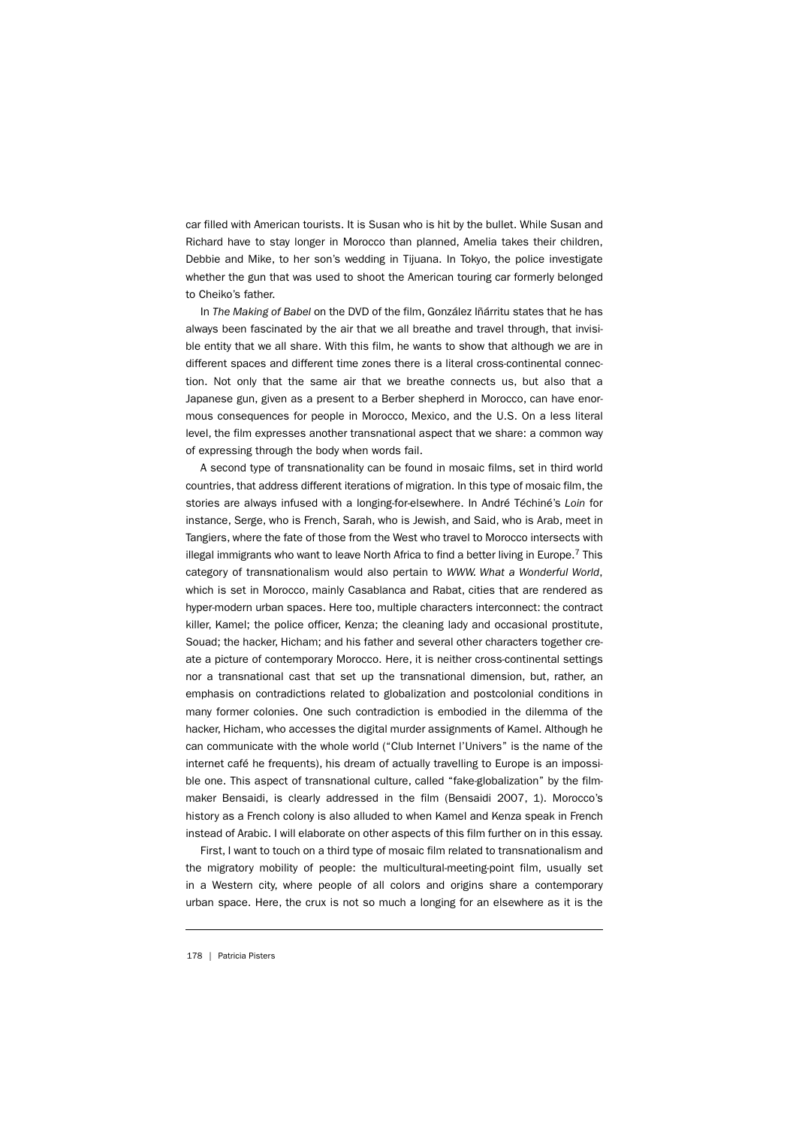car filled with American tourists. It is Susan who is hit by the bullet. While Susan and Richard have to stay longer in Morocco than planned, Amelia takes their children, Debbie and Mike, to her son's wedding in Tijuana. In Tokyo, the police investigate whether the gun that was used to shoot the American touring car formerly belonged to Cheiko's father.

In *The Making of Babel* on the DVD of the film, González Iñárritu states that he has always been fascinated by the air that we all breathe and travel through, that invisible entity that we all share. With this film, he wants to show that although we are in different spaces and different time zones there is a literal cross-continental connection. Not only that the same air that we breathe connects us, but also that a Japanese gun, given as a present to a Berber shepherd in Morocco, can have enormous consequences for people in Morocco, Mexico, and the U.S. On a less literal level, the film expresses another transnational aspect that we share: a common way of expressing through the body when words fail.

A second type of transnationality can be found in mosaic films, set in third world countries, that address different iterations of migration. In this type of mosaic film, the stories are always infused with a longing-for-elsewhere. In André Téchiné's *Loin* for instance, Serge, who is French, Sarah, who is Jewish, and Said, who is Arab, meet in Tangiers, where the fate of those from the West who travel to Morocco intersects with illegal immigrants who want to leave North Africa to find a better living in Europe.<sup>7</sup> This category of transnationalism would also pertain to *WWW. What a Wonderful World*, which is set in Morocco, mainly Casablanca and Rabat, cities that are rendered as hyper-modern urban spaces. Here too, multiple characters interconnect: the contract killer, Kamel; the police officer, Kenza; the cleaning lady and occasional prostitute, Souad; the hacker, Hicham; and his father and several other characters together create a picture of contemporary Morocco. Here, it is neither cross-continental settings nor a transnational cast that set up the transnational dimension, but, rather, an emphasis on contradictions related to globalization and postcolonial conditions in many former colonies. One such contradiction is embodied in the dilemma of the hacker, Hicham, who accesses the digital murder assignments of Kamel. Although he can communicate with the whole world ("Club Internet l'Univers" is the name of the internet café he frequents), his dream of actually travelling to Europe is an impossible one. This aspect of transnational culture, called "fake-globalization" by the filmmaker Bensaidi, is clearly addressed in the film (Bensaidi 2007, 1). Morocco's history as a French colony is also alluded to when Kamel and Kenza speak in French instead of Arabic. I will elaborate on other aspects of this film further on in this essay.

First, I want to touch on a third type of mosaic film related to transnationalism and the migratory mobility of people: the multicultural-meeting-point film, usually set in a Western city, where people of all colors and origins share a contemporary urban space. Here, the crux is not so much a longing for an elsewhere as it is the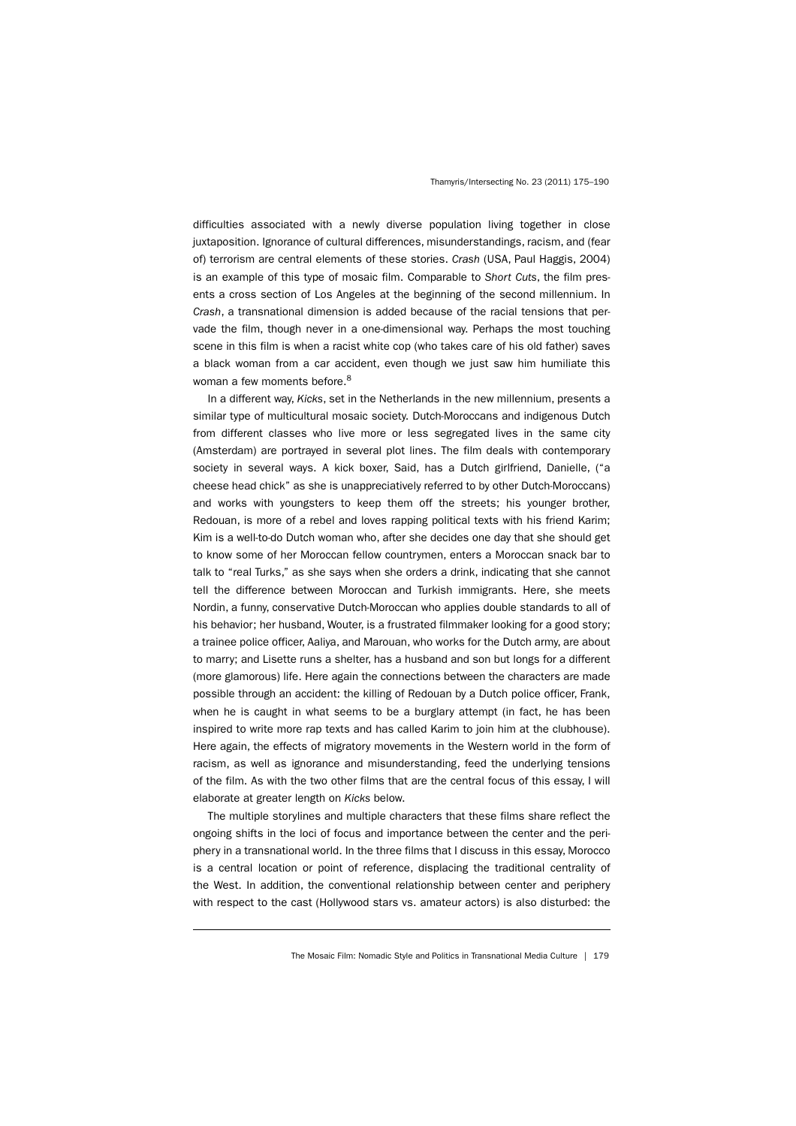difficulties associated with a newly diverse population living together in close juxtaposition. Ignorance of cultural differences, misunderstandings, racism, and (fear of) terrorism are central elements of these stories. *Crash* (USA, Paul Haggis, 2004) is an example of this type of mosaic film. Comparable to *Short Cuts*, the film presents a cross section of Los Angeles at the beginning of the second millennium. In *Crash*, a transnational dimension is added because of the racial tensions that pervade the film, though never in a one-dimensional way. Perhaps the most touching scene in this film is when a racist white cop (who takes care of his old father) saves a black woman from a car accident, even though we just saw him humiliate this woman a few moments before.<sup>8</sup>

In a different way, *Kicks*, set in the Netherlands in the new millennium, presents a similar type of multicultural mosaic society. Dutch-Moroccans and indigenous Dutch from different classes who live more or less segregated lives in the same city (Amsterdam) are portrayed in several plot lines. The film deals with contemporary society in several ways. A kick boxer, Said, has a Dutch girlfriend, Danielle, ("a cheese head chick" as she is unappreciatively referred to by other Dutch-Moroccans) and works with youngsters to keep them off the streets; his younger brother, Redouan, is more of a rebel and loves rapping political texts with his friend Karim; Kim is a well-to-do Dutch woman who, after she decides one day that she should get to know some of her Moroccan fellow countrymen, enters a Moroccan snack bar to talk to "real Turks," as she says when she orders a drink, indicating that she cannot tell the difference between Moroccan and Turkish immigrants. Here, she meets Nordin, a funny, conservative Dutch-Moroccan who applies double standards to all of his behavior; her husband, Wouter, is a frustrated filmmaker looking for a good story; a trainee police officer, Aaliya, and Marouan, who works for the Dutch army, are about to marry; and Lisette runs a shelter, has a husband and son but longs for a different (more glamorous) life. Here again the connections between the characters are made possible through an accident: the killing of Redouan by a Dutch police officer, Frank, when he is caught in what seems to be a burglary attempt (in fact, he has been inspired to write more rap texts and has called Karim to join him at the clubhouse). Here again, the effects of migratory movements in the Western world in the form of racism, as well as ignorance and misunderstanding, feed the underlying tensions of the film. As with the two other films that are the central focus of this essay, I will elaborate at greater length on *Kicks* below.

The multiple storylines and multiple characters that these films share reflect the ongoing shifts in the loci of focus and importance between the center and the periphery in a transnational world. In the three films that I discuss in this essay, Morocco is a central location or point of reference, displacing the traditional centrality of the West. In addition, the conventional relationship between center and periphery with respect to the cast (Hollywood stars vs. amateur actors) is also disturbed: the

The Mosaic Film: Nomadic Style and Politics in Transnational Media Culture | 179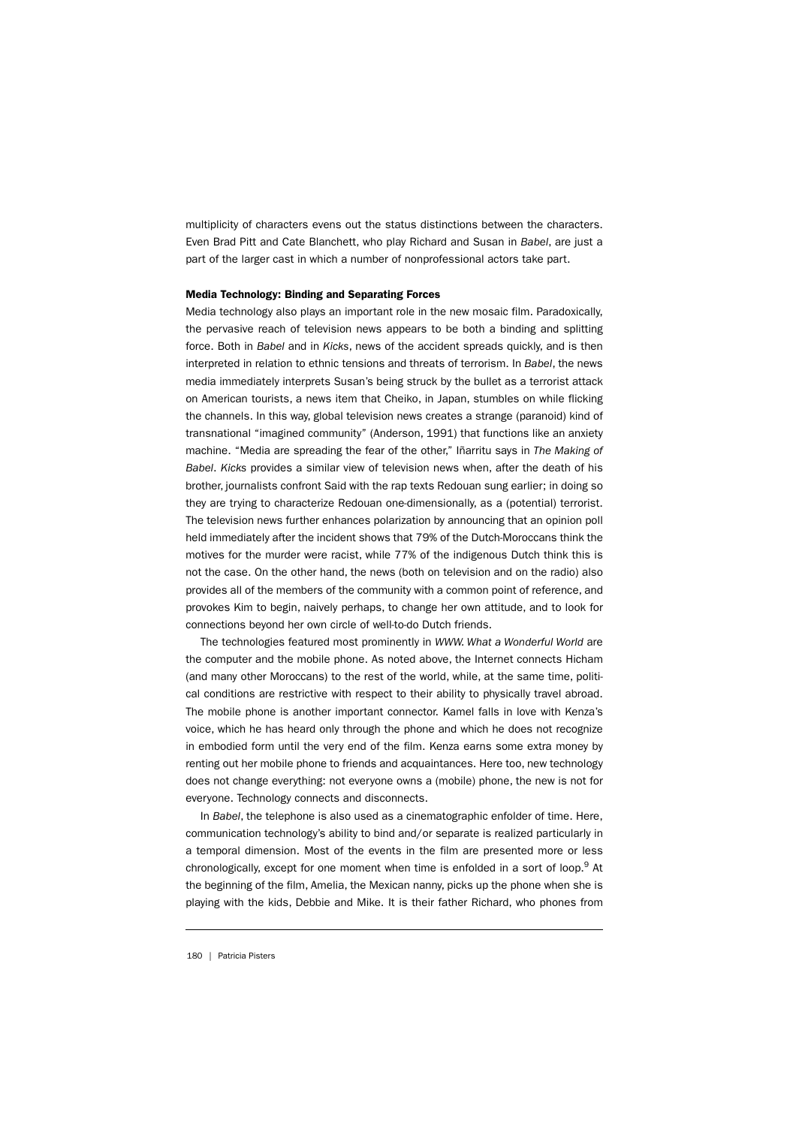multiplicity of characters evens out the status distinctions between the characters. Even Brad Pitt and Cate Blanchett, who play Richard and Susan in *Babel*, are just a part of the larger cast in which a number of nonprofessional actors take part.

#### Media Technology: Binding and Separating Forces

Media technology also plays an important role in the new mosaic film. Paradoxically, the pervasive reach of television news appears to be both a binding and splitting force. Both in *Babel* and in *Kicks*, news of the accident spreads quickly, and is then interpreted in relation to ethnic tensions and threats of terrorism. In *Babel*, the news media immediately interprets Susan's being struck by the bullet as a terrorist attack on American tourists, a news item that Cheiko, in Japan, stumbles on while flicking the channels. In this way, global television news creates a strange (paranoid) kind of transnational "imagined community" (Anderson, 1991) that functions like an anxiety machine. "Media are spreading the fear of the other," Iñarritu says in *The Making of Babel*. *Kicks* provides a similar view of television news when, after the death of his brother, journalists confront Said with the rap texts Redouan sung earlier; in doing so they are trying to characterize Redouan one-dimensionally, as a (potential) terrorist. The television news further enhances polarization by announcing that an opinion poll held immediately after the incident shows that 79% of the Dutch-Moroccans think the motives for the murder were racist, while 77% of the indigenous Dutch think this is not the case. On the other hand, the news (both on television and on the radio) also provides all of the members of the community with a common point of reference, and provokes Kim to begin, naively perhaps, to change her own attitude, and to look for connections beyond her own circle of well-to-do Dutch friends.

The technologies featured most prominently in *WWW. What a Wonderful World* are the computer and the mobile phone. As noted above, the Internet connects Hicham (and many other Moroccans) to the rest of the world, while, at the same time, political conditions are restrictive with respect to their ability to physically travel abroad. The mobile phone is another important connector. Kamel falls in love with Kenza's voice, which he has heard only through the phone and which he does not recognize in embodied form until the very end of the film. Kenza earns some extra money by renting out her mobile phone to friends and acquaintances. Here too, new technology does not change everything: not everyone owns a (mobile) phone, the new is not for everyone. Technology connects and disconnects.

In *Babel*, the telephone is also used as a cinematographic enfolder of time. Here, communication technology's ability to bind and/or separate is realized particularly in a temporal dimension. Most of the events in the film are presented more or less chronologically, except for one moment when time is enfolded in a sort of loop.<sup>9</sup> At the beginning of the film, Amelia, the Mexican nanny, picks up the phone when she is playing with the kids, Debbie and Mike. It is their father Richard, who phones from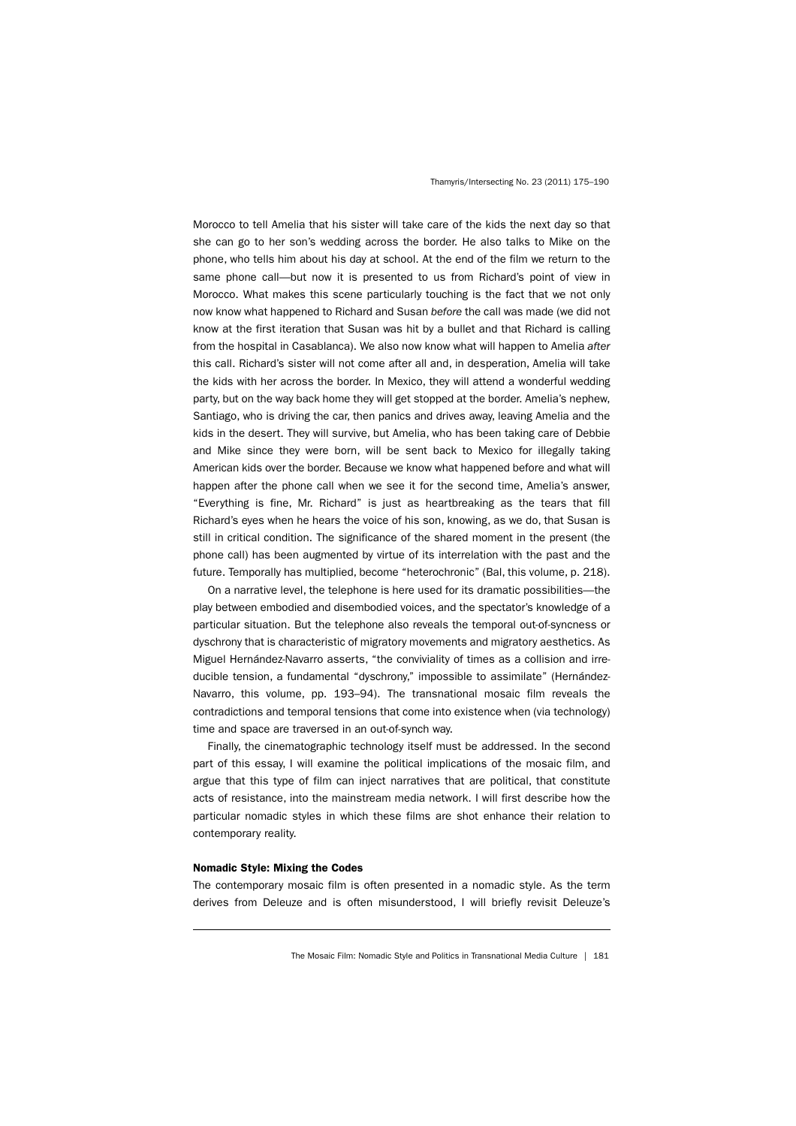Thamyris/Intersecting No. 23 (2011) 175–190

Morocco to tell Amelia that his sister will take care of the kids the next day so that she can go to her son's wedding across the border. He also talks to Mike on the phone, who tells him about his day at school. At the end of the film we return to the same phone call—but now it is presented to us from Richard's point of view in Morocco. What makes this scene particularly touching is the fact that we not only now know what happened to Richard and Susan *before* the call was made (we did not know at the first iteration that Susan was hit by a bullet and that Richard is calling from the hospital in Casablanca). We also now know what will happen to Amelia *after* this call. Richard's sister will not come after all and, in desperation, Amelia will take the kids with her across the border. In Mexico, they will attend a wonderful wedding party, but on the way back home they will get stopped at the border. Amelia's nephew, Santiago, who is driving the car, then panics and drives away, leaving Amelia and the kids in the desert. They will survive, but Amelia, who has been taking care of Debbie and Mike since they were born, will be sent back to Mexico for illegally taking American kids over the border. Because we know what happened before and what will happen after the phone call when we see it for the second time, Amelia's answer, "Everything is fine, Mr. Richard" is just as heartbreaking as the tears that fill Richard's eyes when he hears the voice of his son, knowing, as we do, that Susan is still in critical condition. The significance of the shared moment in the present (the phone call) has been augmented by virtue of its interrelation with the past and the future. Temporally has multiplied, become "heterochronic" (Bal, this volume, p. 218).

On a narrative level, the telephone is here used for its dramatic possibilities—the play between embodied and disembodied voices, and the spectator's knowledge of a particular situation. But the telephone also reveals the temporal out-of-syncness or dyschrony that is characteristic of migratory movements and migratory aesthetics. As Miguel Hernández-Navarro asserts, "the conviviality of times as a collision and irreducible tension, a fundamental "dyschrony," impossible to assimilate" (Hernández-Navarro, this volume, pp. 193–94). The transnational mosaic film reveals the contradictions and temporal tensions that come into existence when (via technology) time and space are traversed in an out-of-synch way.

Finally, the cinematographic technology itself must be addressed. In the second part of this essay, I will examine the political implications of the mosaic film, and argue that this type of film can inject narratives that are political, that constitute acts of resistance, into the mainstream media network. I will first describe how the particular nomadic styles in which these films are shot enhance their relation to contemporary reality.

## Nomadic Style: Mixing the Codes

The contemporary mosaic film is often presented in a nomadic style. As the term derives from Deleuze and is often misunderstood, I will briefly revisit Deleuze's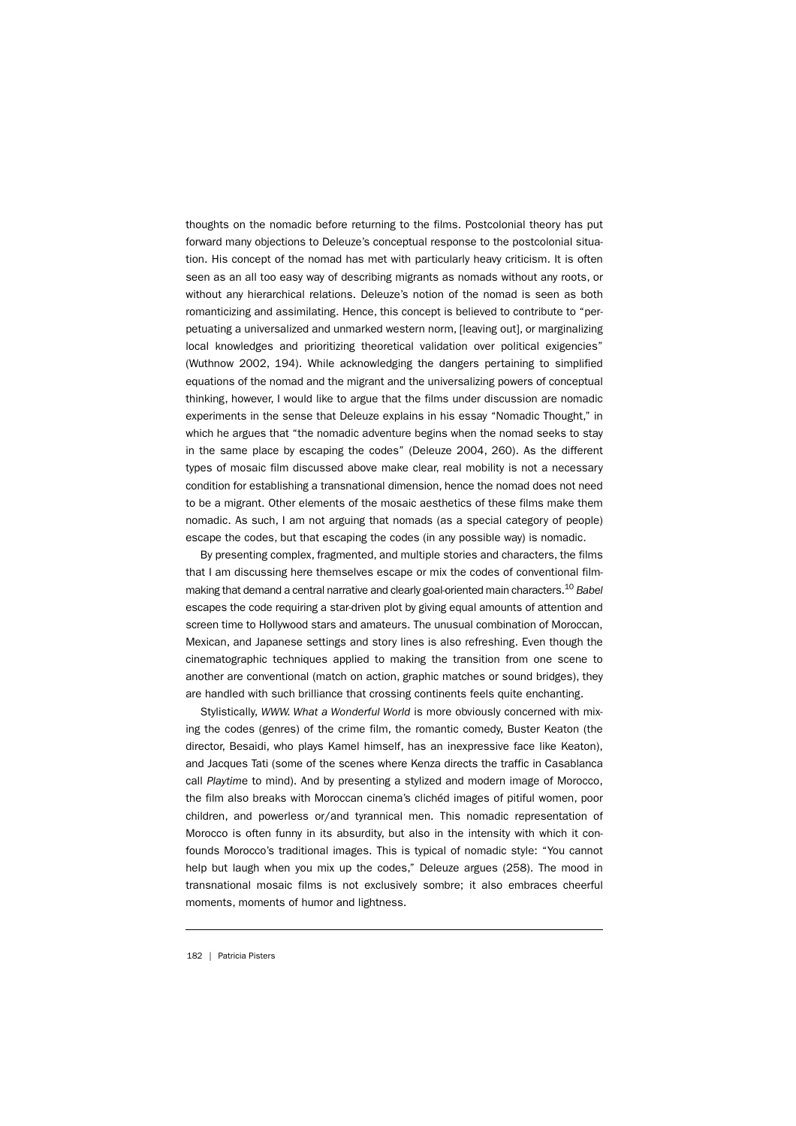thoughts on the nomadic before returning to the films. Postcolonial theory has put forward many objections to Deleuze's conceptual response to the postcolonial situation. His concept of the nomad has met with particularly heavy criticism. It is often seen as an all too easy way of describing migrants as nomads without any roots, or without any hierarchical relations. Deleuze's notion of the nomad is seen as both romanticizing and assimilating. Hence, this concept is believed to contribute to "perpetuating a universalized and unmarked western norm, [leaving out], or marginalizing local knowledges and prioritizing theoretical validation over political exigencies" (Wuthnow 2002, 194). While acknowledging the dangers pertaining to simplified equations of the nomad and the migrant and the universalizing powers of conceptual thinking, however, I would like to argue that the films under discussion are nomadic experiments in the sense that Deleuze explains in his essay "Nomadic Thought," in which he argues that "the nomadic adventure begins when the nomad seeks to stay in the same place by escaping the codes" (Deleuze 2004, 260). As the different types of mosaic film discussed above make clear, real mobility is not a necessary condition for establishing a transnational dimension, hence the nomad does not need to be a migrant. Other elements of the mosaic aesthetics of these films make them nomadic. As such, I am not arguing that nomads (as a special category of people) escape the codes, but that escaping the codes (in any possible way) is nomadic.

By presenting complex, fragmented, and multiple stories and characters, the films that I am discussing here themselves escape or mix the codes of conventional filmmaking that demand a central narrative and clearly goal-oriented main characters.10 *Babel* escapes the code requiring a star-driven plot by giving equal amounts of attention and screen time to Hollywood stars and amateurs. The unusual combination of Moroccan, Mexican, and Japanese settings and story lines is also refreshing. Even though the cinematographic techniques applied to making the transition from one scene to another are conventional (match on action, graphic matches or sound bridges), they are handled with such brilliance that crossing continents feels quite enchanting.

Stylistically, *WWW. What a Wonderful World* is more obviously concerned with mixing the codes (genres) of the crime film, the romantic comedy, Buster Keaton (the director, Besaidi, who plays Kamel himself, has an inexpressive face like Keaton), and Jacques Tati (some of the scenes where Kenza directs the traffic in Casablanca call *Playtim*e to mind). And by presenting a stylized and modern image of Morocco, the film also breaks with Moroccan cinema's clichéd images of pitiful women, poor children, and powerless or/and tyrannical men. This nomadic representation of Morocco is often funny in its absurdity, but also in the intensity with which it confounds Morocco's traditional images. This is typical of nomadic style: "You cannot help but laugh when you mix up the codes," Deleuze argues (258). The mood in transnational mosaic films is not exclusively sombre; it also embraces cheerful moments, moments of humor and lightness.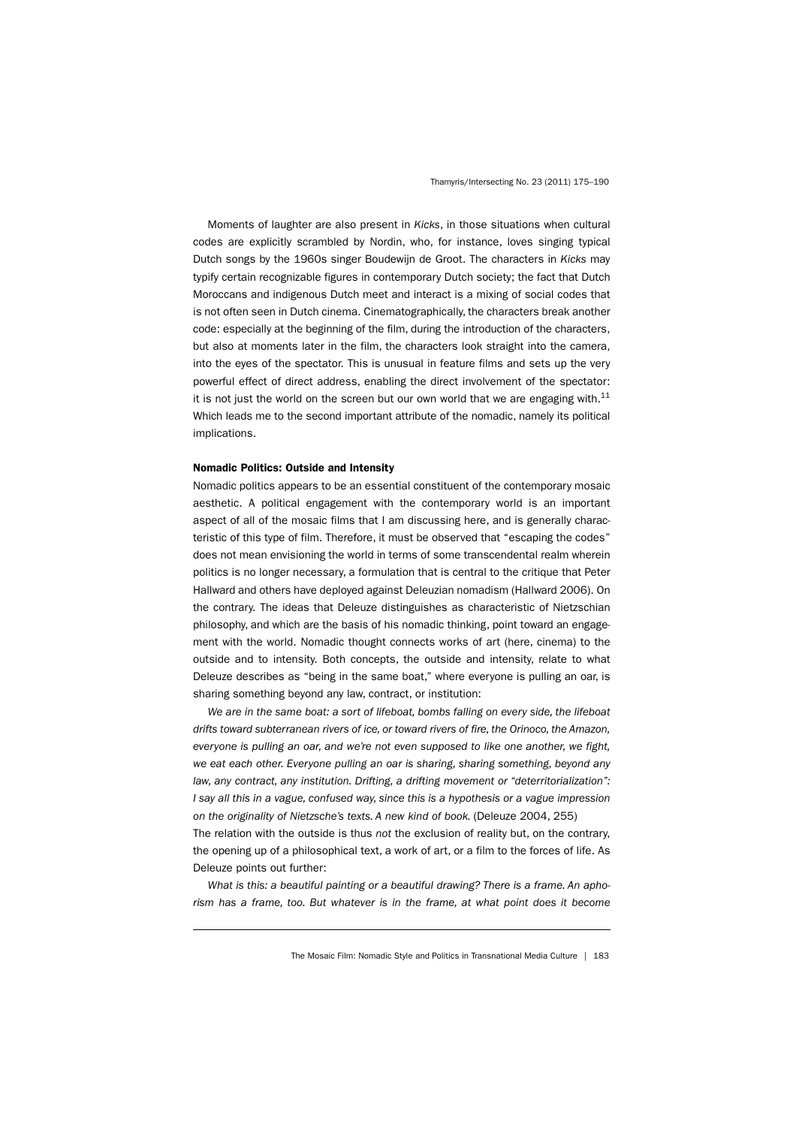Moments of laughter are also present in *Kicks*, in those situations when cultural codes are explicitly scrambled by Nordin, who, for instance, loves singing typical Dutch songs by the 1960s singer Boudewijn de Groot. The characters in *Kicks* may typify certain recognizable figures in contemporary Dutch society; the fact that Dutch Moroccans and indigenous Dutch meet and interact is a mixing of social codes that is not often seen in Dutch cinema. Cinematographically, the characters break another code: especially at the beginning of the film, during the introduction of the characters, but also at moments later in the film, the characters look straight into the camera, into the eyes of the spectator. This is unusual in feature films and sets up the very powerful effect of direct address, enabling the direct involvement of the spectator: it is not just the world on the screen but our own world that we are engaging with.<sup>11</sup> Which leads me to the second important attribute of the nomadic, namely its political implications.

#### Nomadic Politics: Outside and Intensity

Nomadic politics appears to be an essential constituent of the contemporary mosaic aesthetic. A political engagement with the contemporary world is an important aspect of all of the mosaic films that I am discussing here, and is generally characteristic of this type of film. Therefore, it must be observed that "escaping the codes" does not mean envisioning the world in terms of some transcendental realm wherein politics is no longer necessary, a formulation that is central to the critique that Peter Hallward and others have deployed against Deleuzian nomadism (Hallward 2006). On the contrary. The ideas that Deleuze distinguishes as characteristic of Nietzschian philosophy, and which are the basis of his nomadic thinking, point toward an engagement with the world. Nomadic thought connects works of art (here, cinema) to the outside and to intensity. Both concepts, the outside and intensity, relate to what Deleuze describes as "being in the same boat," where everyone is pulling an oar, is sharing something beyond any law, contract, or institution:

*We are in the same boat: a sort of lifeboat, bombs falling on every side, the lifeboat drifts toward subterranean rivers of ice, or toward rivers of fire, the Orinoco, the Amazon, everyone is pulling an oar, and we're not even supposed to like one another, we fight, we eat each other. Everyone pulling an oar is sharing, sharing something, beyond any law, any contract, any institution. Drifting, a drifting movement or "deterritorialization": I say all this in a vague, confused way, since this is a hypothesis or a vague impression on the originality of Nietzsche's texts. A new kind of book.* (Deleuze 2004, 255)

The relation with the outside is thus *not* the exclusion of reality but, on the contrary, the opening up of a philosophical text, a work of art, or a film to the forces of life. As Deleuze points out further:

*What is this: a beautiful painting or a beautiful drawing? There is a frame. An aphorism has a frame, too. But whatever is in the frame, at what point does it become* 

The Mosaic Film: Nomadic Style and Politics in Transnational Media Culture | 183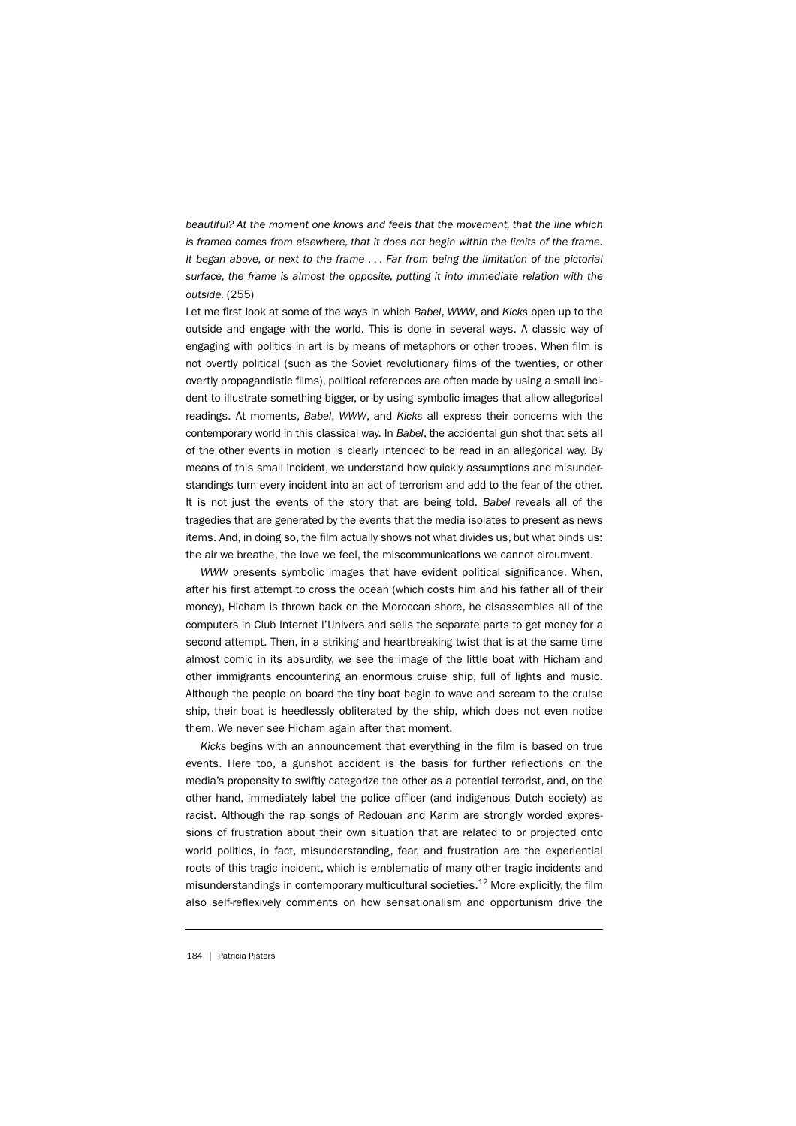*beautiful? At the moment one knows and feels that the movement, that the line which is framed comes from elsewhere, that it does not begin within the limits of the frame. It began above, or next to the frame . . . Far from being the limitation of the pictorial surface, the frame is almost the opposite, putting it into immediate relation with the outside.* (255)

Let me first look at some of the ways in which *Babel*, *WWW*, and *Kicks* open up to the outside and engage with the world. This is done in several ways. A classic way of engaging with politics in art is by means of metaphors or other tropes. When film is not overtly political (such as the Soviet revolutionary films of the twenties, or other overtly propagandistic films), political references are often made by using a small incident to illustrate something bigger, or by using symbolic images that allow allegorical readings. At moments, *Babel*, *WWW*, and *Kicks* all express their concerns with the contemporary world in this classical way. In *Babel*, the accidental gun shot that sets all of the other events in motion is clearly intended to be read in an allegorical way. By means of this small incident, we understand how quickly assumptions and misunderstandings turn every incident into an act of terrorism and add to the fear of the other. It is not just the events of the story that are being told. *Babel* reveals all of the tragedies that are generated by the events that the media isolates to present as news items. And, in doing so, the film actually shows not what divides us, but what binds us: the air we breathe, the love we feel, the miscommunications we cannot circumvent.

*WWW* presents symbolic images that have evident political significance. When, after his first attempt to cross the ocean (which costs him and his father all of their money), Hicham is thrown back on the Moroccan shore, he disassembles all of the computers in Club Internet l'Univers and sells the separate parts to get money for a second attempt. Then, in a striking and heartbreaking twist that is at the same time almost comic in its absurdity, we see the image of the little boat with Hicham and other immigrants encountering an enormous cruise ship, full of lights and music. Although the people on board the tiny boat begin to wave and scream to the cruise ship, their boat is heedlessly obliterated by the ship, which does not even notice them. We never see Hicham again after that moment.

*Kicks* begins with an announcement that everything in the film is based on true events. Here too, a gunshot accident is the basis for further reflections on the media's propensity to swiftly categorize the other as a potential terrorist, and, on the other hand, immediately label the police officer (and indigenous Dutch society) as racist. Although the rap songs of Redouan and Karim are strongly worded expressions of frustration about their own situation that are related to or projected onto world politics, in fact, misunderstanding, fear, and frustration are the experiential roots of this tragic incident, which is emblematic of many other tragic incidents and misunderstandings in contemporary multicultural societies.<sup>12</sup> More explicitly, the film also self-reflexively comments on how sensationalism and opportunism drive the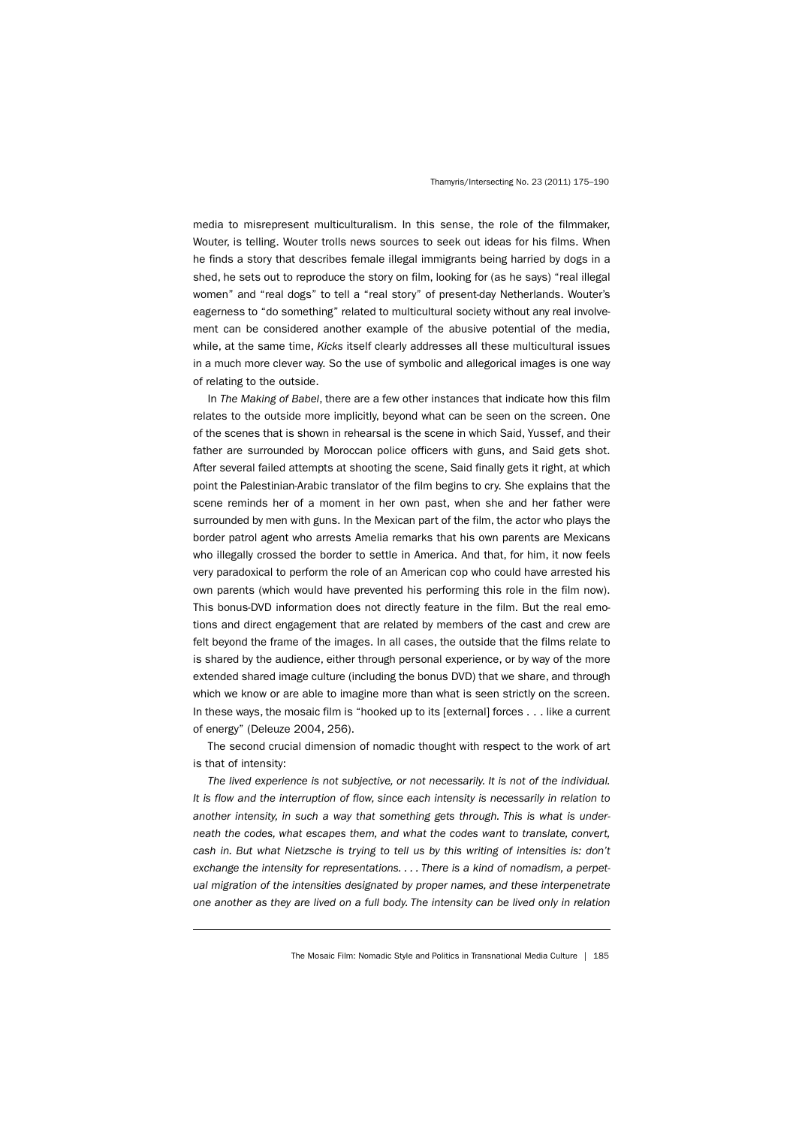media to misrepresent multiculturalism. In this sense, the role of the filmmaker, Wouter, is telling. Wouter trolls news sources to seek out ideas for his films. When he finds a story that describes female illegal immigrants being harried by dogs in a shed, he sets out to reproduce the story on film, looking for (as he says) "real illegal women" and "real dogs" to tell a "real story" of present-day Netherlands. Wouter's eagerness to "do something" related to multicultural society without any real involvement can be considered another example of the abusive potential of the media, while, at the same time, *Kicks* itself clearly addresses all these multicultural issues in a much more clever way. So the use of symbolic and allegorical images is one way of relating to the outside.

In *The Making of Babel*, there are a few other instances that indicate how this film relates to the outside more implicitly, beyond what can be seen on the screen. One of the scenes that is shown in rehearsal is the scene in which Said, Yussef, and their father are surrounded by Moroccan police officers with guns, and Said gets shot. After several failed attempts at shooting the scene, Said finally gets it right, at which point the Palestinian-Arabic translator of the film begins to cry. She explains that the scene reminds her of a moment in her own past, when she and her father were surrounded by men with guns. In the Mexican part of the film, the actor who plays the border patrol agent who arrests Amelia remarks that his own parents are Mexicans who illegally crossed the border to settle in America. And that, for him, it now feels very paradoxical to perform the role of an American cop who could have arrested his own parents (which would have prevented his performing this role in the film now). This bonus-DVD information does not directly feature in the film. But the real emotions and direct engagement that are related by members of the cast and crew are felt beyond the frame of the images. In all cases, the outside that the films relate to is shared by the audience, either through personal experience, or by way of the more extended shared image culture (including the bonus DVD) that we share, and through which we know or are able to imagine more than what is seen strictly on the screen. In these ways, the mosaic film is "hooked up to its [external] forces . . . like a current of energy" (Deleuze 2004, 256).

The second crucial dimension of nomadic thought with respect to the work of art is that of intensity:

*The lived experience is not subjective, or not necessarily. It is not of the individual. It is flow and the interruption of flow, since each intensity is necessarily in relation to another intensity, in such a way that something gets through. This is what is underneath the codes, what escapes them, and what the codes want to translate, convert, cash in. But what Nietzsche is trying to tell us by this writing of intensities is: don't exchange the intensity for representations. . . . There is a kind of nomadism, a perpetual migration of the intensities designated by proper names, and these interpenetrate one another as they are lived on a full body. The intensity can be lived only in relation*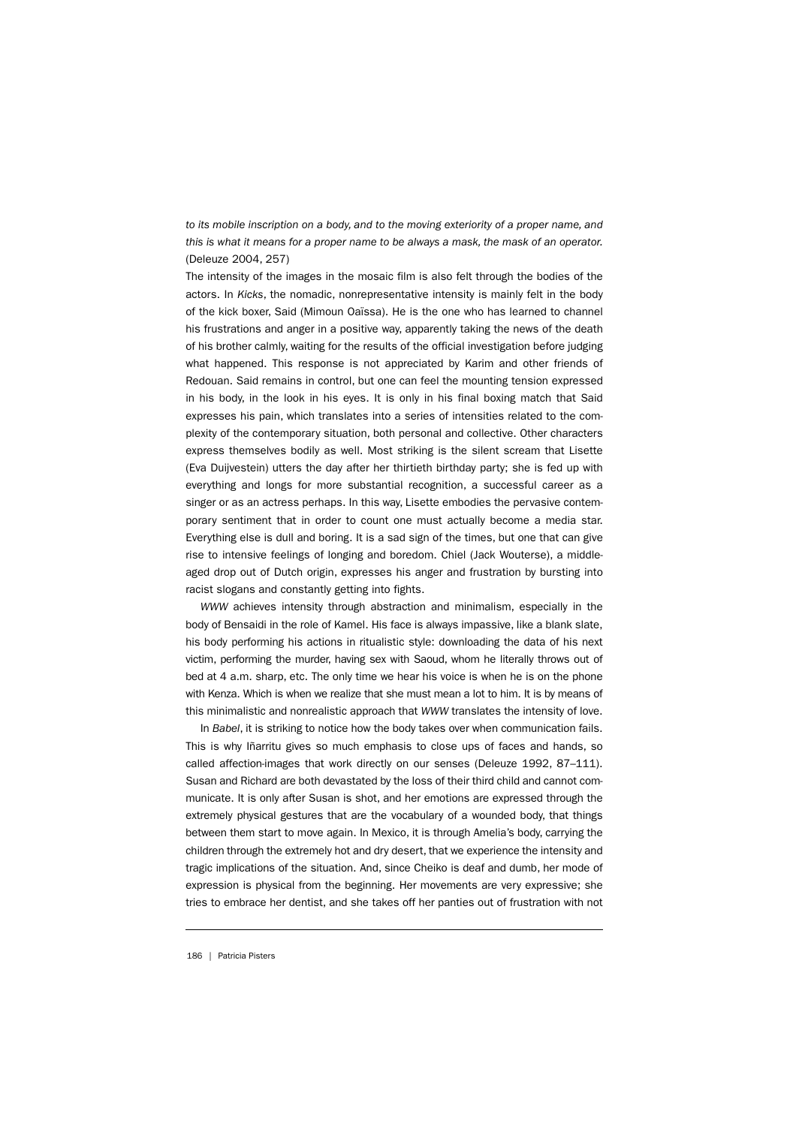*to its mobile inscription on a body, and to the moving exteriority of a proper name, and this is what it means for a proper name to be always a mask, the mask of an operator.* (Deleuze 2004, 257)

The intensity of the images in the mosaic film is also felt through the bodies of the actors. In *Kicks*, the nomadic, nonrepresentative intensity is mainly felt in the body of the kick boxer, Said (Mimoun Oaïssa). He is the one who has learned to channel his frustrations and anger in a positive way, apparently taking the news of the death of his brother calmly, waiting for the results of the official investigation before judging what happened. This response is not appreciated by Karim and other friends of Redouan. Said remains in control, but one can feel the mounting tension expressed in his body, in the look in his eyes. It is only in his final boxing match that Said expresses his pain, which translates into a series of intensities related to the complexity of the contemporary situation, both personal and collective. Other characters express themselves bodily as well. Most striking is the silent scream that Lisette (Eva Duijvestein) utters the day after her thirtieth birthday party; she is fed up with everything and longs for more substantial recognition, a successful career as a singer or as an actress perhaps. In this way, Lisette embodies the pervasive contemporary sentiment that in order to count one must actually become a media star. Everything else is dull and boring. It is a sad sign of the times, but one that can give rise to intensive feelings of longing and boredom. Chiel (Jack Wouterse), a middleaged drop out of Dutch origin, expresses his anger and frustration by bursting into racist slogans and constantly getting into fights.

*WWW* achieves intensity through abstraction and minimalism, especially in the body of Bensaidi in the role of Kamel. His face is always impassive, like a blank slate, his body performing his actions in ritualistic style: downloading the data of his next victim, performing the murder, having sex with Saoud, whom he literally throws out of bed at 4 a.m. sharp, etc. The only time we hear his voice is when he is on the phone with Kenza. Which is when we realize that she must mean a lot to him. It is by means of this minimalistic and nonrealistic approach that *WWW* translates the intensity of love.

In *Babel*, it is striking to notice how the body takes over when communication fails. This is why Iñarritu gives so much emphasis to close ups of faces and hands, so called affection-images that work directly on our senses (Deleuze 1992, 87–111). Susan and Richard are both devastated by the loss of their third child and cannot communicate. It is only after Susan is shot, and her emotions are expressed through the extremely physical gestures that are the vocabulary of a wounded body, that things between them start to move again. In Mexico, it is through Amelia's body, carrying the children through the extremely hot and dry desert, that we experience the intensity and tragic implications of the situation. And, since Cheiko is deaf and dumb, her mode of expression is physical from the beginning. Her movements are very expressive; she tries to embrace her dentist, and she takes off her panties out of frustration with not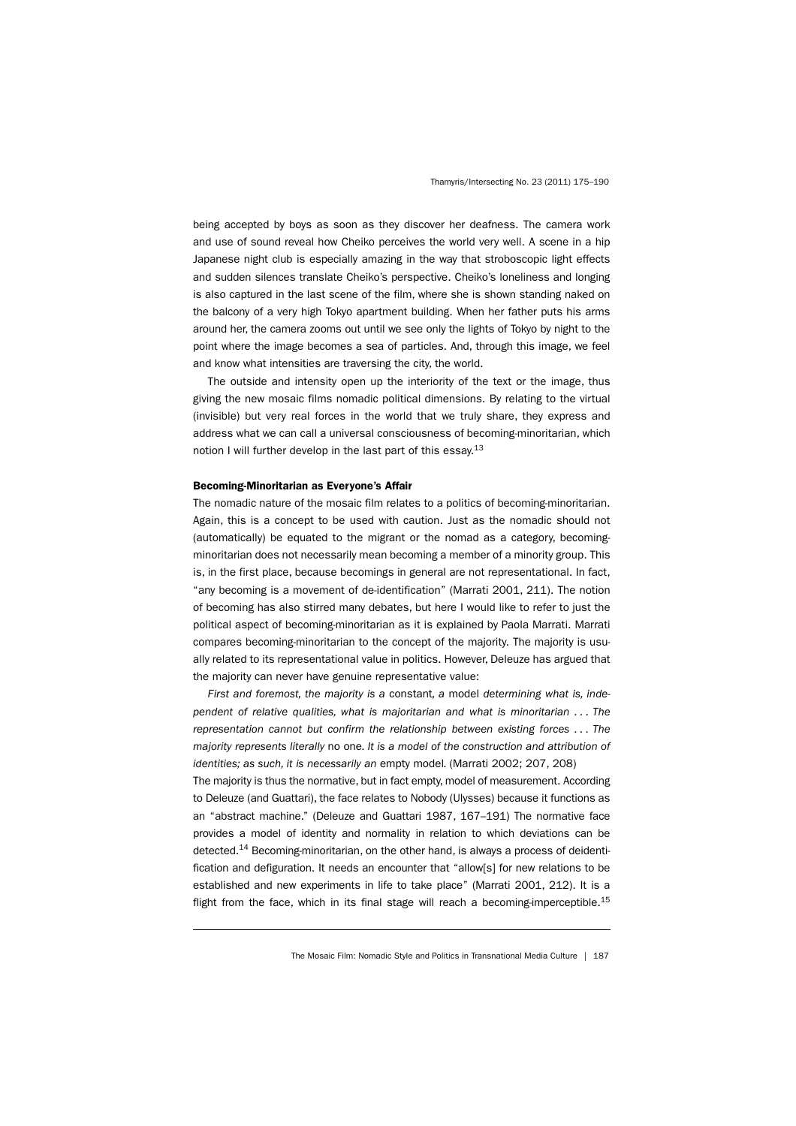being accepted by boys as soon as they discover her deafness. The camera work and use of sound reveal how Cheiko perceives the world very well. A scene in a hip Japanese night club is especially amazing in the way that stroboscopic light effects and sudden silences translate Cheiko's perspective. Cheiko's loneliness and longing is also captured in the last scene of the film, where she is shown standing naked on the balcony of a very high Tokyo apartment building. When her father puts his arms around her, the camera zooms out until we see only the lights of Tokyo by night to the point where the image becomes a sea of particles. And, through this image, we feel and know what intensities are traversing the city, the world.

The outside and intensity open up the interiority of the text or the image, thus giving the new mosaic films nomadic political dimensions. By relating to the virtual (invisible) but very real forces in the world that we truly share, they express and address what we can call a universal consciousness of becoming-minoritarian, which notion I will further develop in the last part of this essay. $13$ 

#### Becoming-Minoritarian as Everyone's Affair

The nomadic nature of the mosaic film relates to a politics of becoming-minoritarian. Again, this is a concept to be used with caution. Just as the nomadic should not (automatically) be equated to the migrant or the nomad as a category, becomingminoritarian does not necessarily mean becoming a member of a minority group. This is, in the first place, because becomings in general are not representational. In fact, "any becoming is a movement of de-identification" (Marrati 2001, 211). The notion of becoming has also stirred many debates, but here I would like to refer to just the political aspect of becoming-minoritarian as it is explained by Paola Marrati. Marrati compares becoming-minoritarian to the concept of the majority. The majority is usually related to its representational value in politics. However, Deleuze has argued that the majority can never have genuine representative value:

*First and foremost, the majority is a* constant*, a* model *determining what is, independent of relative qualities, what is majoritarian and what is minoritarian . . . The representation cannot but confirm the relationship between existing forces . . . The majority represents literally* no one*. It is a model of the construction and attribution of identities; as such, it is necessarily an* empty model*.* (Marrati 2002; 207, 208)

The majority is thus the normative, but in fact empty, model of measurement. According to Deleuze (and Guattari), the face relates to Nobody (Ulysses) because it functions as an "abstract machine." (Deleuze and Guattari 1987, 167–191) The normative face provides a model of identity and normality in relation to which deviations can be detected.<sup>14</sup> Becoming-minoritarian, on the other hand, is always a process of deidentification and defiguration. It needs an encounter that "allow[s] for new relations to be established and new experiments in life to take place" (Marrati 2001, 212). It is a flight from the face, which in its final stage will reach a becoming-imperceptible.<sup>15</sup>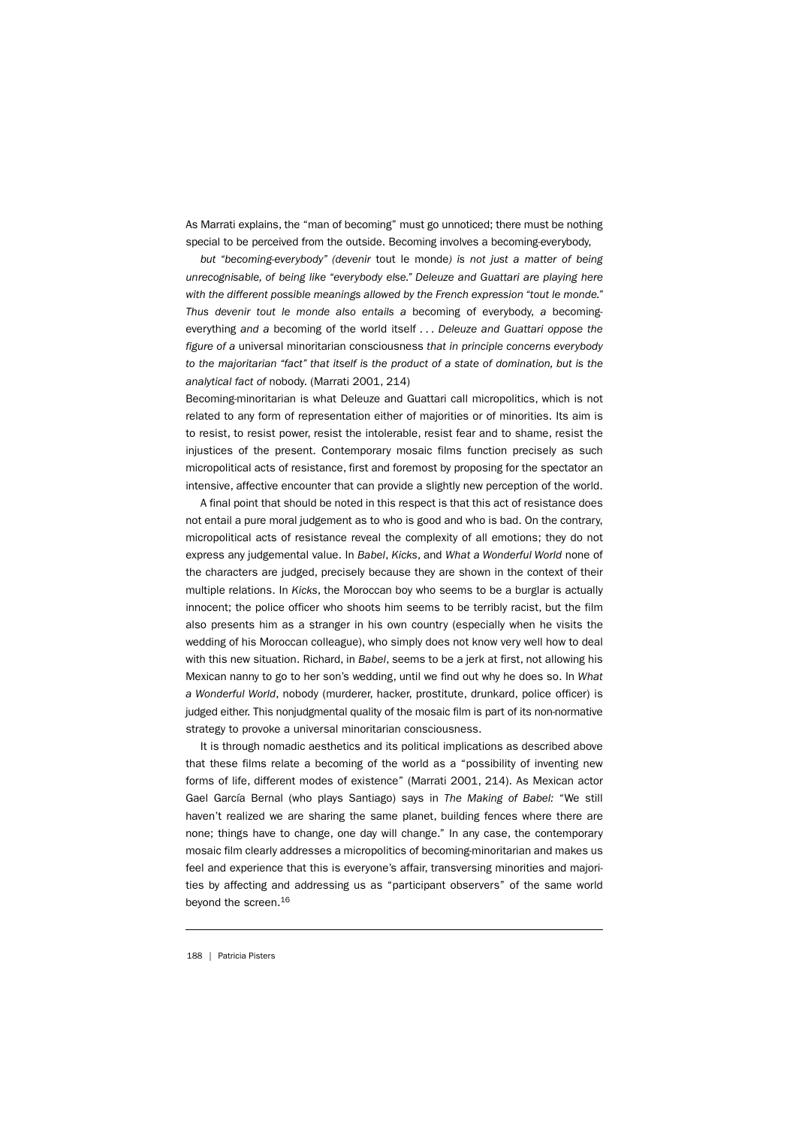As Marrati explains, the "man of becoming" must go unnoticed; there must be nothing special to be perceived from the outside. Becoming involves a becoming-everybody,

*but "becoming-everybody" (devenir* tout le monde*) is not just a matter of being unrecognisable, of being like "everybody else." Deleuze and Guattari are playing here with the different possible meanings allowed by the French expression "tout le monde." Thus devenir tout le monde also entails a* becoming of everybody, *a* becomingeverything *and a* becoming of the world itself *. . . Deleuze and Guattari oppose the figure of a* universal minoritarian consciousness *that in principle concerns everybody to the majoritarian "fact" that itself is the product of a state of domination, but is the analytical fact of* nobody. (Marrati 2001, 214)

Becoming-minoritarian is what Deleuze and Guattari call micropolitics, which is not related to any form of representation either of majorities or of minorities. Its aim is to resist, to resist power, resist the intolerable, resist fear and to shame, resist the injustices of the present. Contemporary mosaic films function precisely as such micropolitical acts of resistance, first and foremost by proposing for the spectator an intensive, affective encounter that can provide a slightly new perception of the world.

A final point that should be noted in this respect is that this act of resistance does not entail a pure moral judgement as to who is good and who is bad. On the contrary, micropolitical acts of resistance reveal the complexity of all emotions; they do not express any judgemental value. In *Babel*, *Kicks*, and *What a Wonderful World* none of the characters are judged, precisely because they are shown in the context of their multiple relations. In *Kicks*, the Moroccan boy who seems to be a burglar is actually innocent; the police officer who shoots him seems to be terribly racist, but the film also presents him as a stranger in his own country (especially when he visits the wedding of his Moroccan colleague), who simply does not know very well how to deal with this new situation. Richard, in *Babel*, seems to be a jerk at first, not allowing his Mexican nanny to go to her son's wedding, until we find out why he does so. In *What a Wonderful World*, nobody (murderer, hacker, prostitute, drunkard, police officer) is judged either. This nonjudgmental quality of the mosaic film is part of its non-normative strategy to provoke a universal minoritarian consciousness.

It is through nomadic aesthetics and its political implications as described above that these films relate a becoming of the world as a "possibility of inventing new forms of life, different modes of existence" (Marrati 2001, 214). As Mexican actor Gael García Bernal (who plays Santiago) says in *The Making of Babel:* "We still haven't realized we are sharing the same planet, building fences where there are none; things have to change, one day will change." In any case, the contemporary mosaic film clearly addresses a micropolitics of becoming-minoritarian and makes us feel and experience that this is everyone's affair, transversing minorities and majorities by affecting and addressing us as "participant observers" of the same world beyond the screen.<sup>16</sup>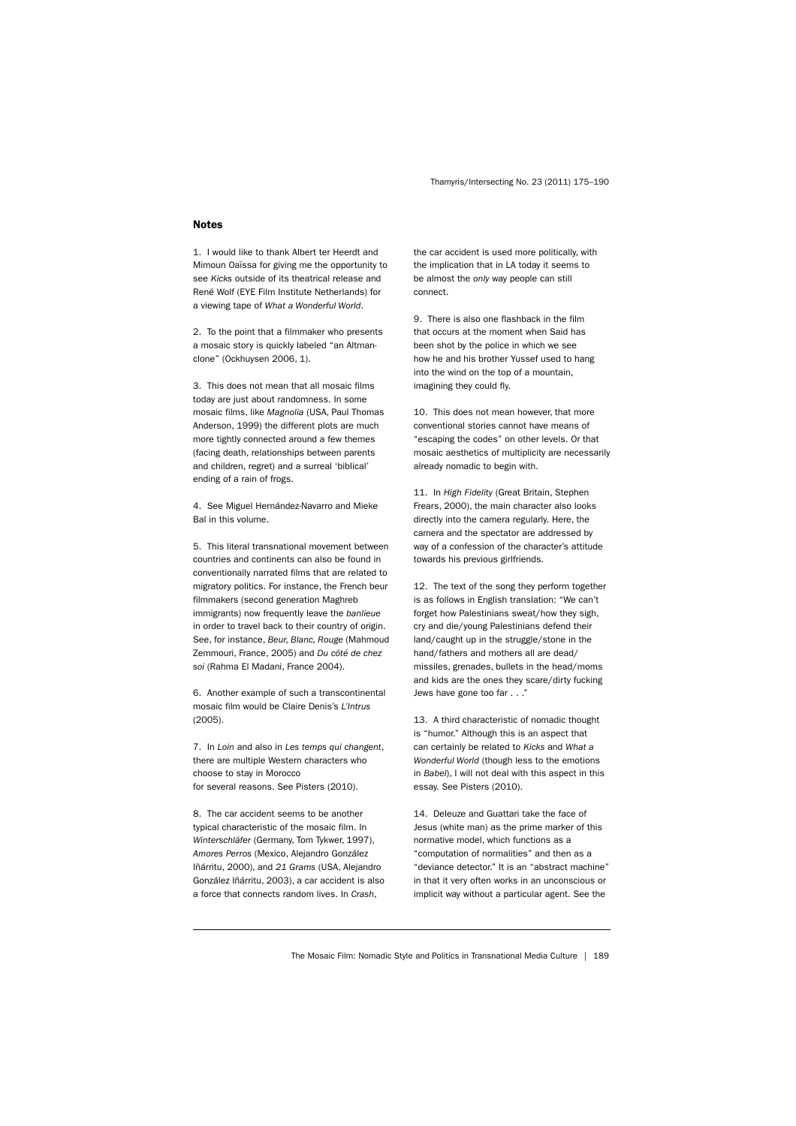## Notes

1. I would like to thank Albert ter Heerdt and Mimoun Oaïssa for giving me the opportunity to see *Kicks* outside of its theatrical release and René Wolf (EYE Film Institute Netherlands) for a viewing tape of *What a Wonderful World*.

2. To the point that a filmmaker who presents a mosaic story is quickly labeled "an Altmanclone" (Ockhuysen 2006, 1).

3. This does not mean that all mosaic films today are just about randomness. In some mosaic films, like *Magnolia* (USA, Paul Thomas Anderson, 1999) the different plots are much more tightly connected around a few themes (facing death, relationships between parents and children, regret) and a surreal 'biblical' ending of a rain of frogs.

4. See Miguel Hernández-Navarro and Mieke Bal in this volume.

5. This literal transnational movement between countries and continents can also be found in conventionally narrated films that are related to migratory politics. For instance, the French beur filmmakers (second generation Maghreb immigrants) now frequently leave the *banlieue* in order to travel back to their country of origin. See, for instance, *Beur, Blanc, Rouge* (Mahmoud Zemmouri, France, 2005) and *Du côté de chez soi* (Rahma El Madani, France 2004).

6. Another example of such a transcontinental mosaic film would be Claire Denis's *L'Intrus* (2005).

7. In *Loin* and also in *Les temps qui changent*, there are multiple Western characters who choose to stay in Morocco for several reasons. See Pisters (2010).

8. The car accident seems to be another typical characteristic of the mosaic film. In *Winterschläfer* (Germany, Tom Tykwer, 1997), *Amores Perros* (Mexico, Alejandro González Iñárritu, 2000), and *21 Grams* (USA, Alejandro González Iñárritu, 2003), a car accident is also a force that connects random lives. In *Crash*,

the car accident is used more politically, with the implication that in LA today it seems to be almost the *only* way people can still connect.

9. There is also one flashback in the film that occurs at the moment when Said has been shot by the police in which we see how he and his brother Yussef used to hang into the wind on the top of a mountain, imagining they could fly.

10. This does not mean however, that more conventional stories cannot have means of "escaping the codes" on other levels. Or that mosaic aesthetics of multiplicity are necessarily already nomadic to begin with.

11. In *High Fidelity* (Great Britain, Stephen Frears, 2000), the main character also looks directly into the camera regularly. Here, the camera and the spectator are addressed by way of a confession of the character's attitude towards his previous girlfriends.

12. The text of the song they perform together is as follows in English translation: "We can't forget how Palestinians sweat/how they sigh, cry and die/young Palestinians defend their land/caught up in the struggle/stone in the hand/fathers and mothers all are dead/ missiles, grenades, bullets in the head/moms and kids are the ones they scare/dirty fucking Jews have gone too far . . ."

13. A third characteristic of nomadic thought is "humor." Although this is an aspect that can certainly be related to *Kicks* and *What a Wonderful World* (though less to the emotions in *Babel*), I will not deal with this aspect in this essay. See Pisters (2010).

14. Deleuze and Guattari take the face of Jesus (white man) as the prime marker of this normative model, which functions as a "computation of normalities" and then as a "deviance detector." It is an "abstract machine" in that it very often works in an unconscious or implicit way without a particular agent. See the

The Mosaic Film: Nomadic Style and Politics in Transnational Media Culture | 189